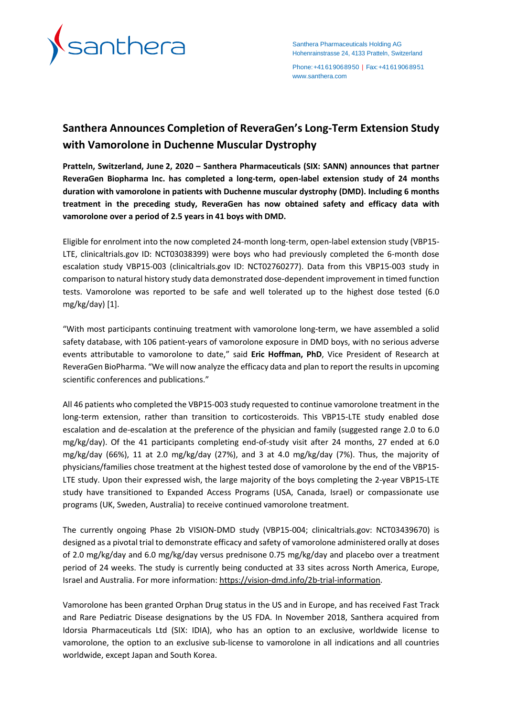

Santhera Pharmaceuticals Holding AG Hohenrainstrasse 24, 4133 Pratteln, Switzerland

Phone:+41619068950 | Fax:+41619068951 [www.santhera.com](http://www.santhera.com/)

# **Santhera Announces Completion of ReveraGen's Long-Term Extension Study with Vamorolone in Duchenne Muscular Dystrophy**

**Pratteln, Switzerland, June 2, 2020 – Santhera Pharmaceuticals (SIX: SANN) announces that partner ReveraGen Biopharma Inc. has completed a long-term, open-label extension study of 24 months duration with vamorolone in patients with Duchenne muscular dystrophy (DMD). Including 6 months treatment in the preceding study, ReveraGen has now obtained safety and efficacy data with vamorolone over a period of 2.5 years in 41 boys with DMD.**

Eligible for enrolment into the now completed 24-month long-term, open-label extension study (VBP15- LTE, clinicaltrials.gov ID: NCT03038399) were boys who had previously completed the 6-month dose escalation study VBP15-003 (clinicaltrials.gov ID: NCT02760277). Data from this VBP15-003 study in comparison to natural history study data demonstrated dose-dependent improvement in timed function tests. Vamorolone was reported to be safe and well tolerated up to the highest dose tested (6.0 mg/kg/day) [1].

"With most participants continuing treatment with vamorolone long-term, we have assembled a solid safety database, with 106 patient-years of vamorolone exposure in DMD boys, with no serious adverse events attributable to vamorolone to date," said **Eric Hoffman, PhD**, Vice President of Research at ReveraGen BioPharma. "We will now analyze the efficacy data and plan to report the results in upcoming scientific conferences and publications."

All 46 patients who completed the VBP15-003 study requested to continue vamorolone treatment in the long-term extension, rather than transition to corticosteroids. This VBP15-LTE study enabled dose escalation and de-escalation at the preference of the physician and family (suggested range 2.0 to 6.0 mg/kg/day). Of the 41 participants completing end-of-study visit after 24 months, 27 ended at 6.0 mg/kg/day (66%), 11 at 2.0 mg/kg/day (27%), and 3 at 4.0 mg/kg/day (7%). Thus, the majority of physicians/families chose treatment at the highest tested dose of vamorolone by the end of the VBP15- LTE study. Upon their expressed wish, the large majority of the boys completing the 2-year VBP15-LTE study have transitioned to Expanded Access Programs (USA, Canada, Israel) or compassionate use programs (UK, Sweden, Australia) to receive continued vamorolone treatment.

The currently ongoing Phase 2b VISION-DMD study (VBP15-004; clinicaltrials.gov: NCT03439670) is designed as a pivotal trial to demonstrate efficacy and safety of vamorolone administered orally at doses of 2.0 mg/kg/day and 6.0 mg/kg/day versus prednisone 0.75 mg/kg/day and placebo over a treatment period of 24 weeks. The study is currently being conducted at 33 sites across North America, Europe, Israel and Australia. For more information: [https://vision-dmd.info/2b-trial-information.](https://vision-dmd.info/2b-trial-information)

Vamorolone has been granted Orphan Drug status in the US and in Europe, and has received Fast Track and Rare Pediatric Disease designations by the US FDA. In November 2018, Santhera acquired from Idorsia Pharmaceuticals Ltd (SIX: IDIA), who has an option to an exclusive, worldwide license to vamorolone, the option to an exclusive sub-license to vamorolone in all indications and all countries worldwide, except Japan and South Korea.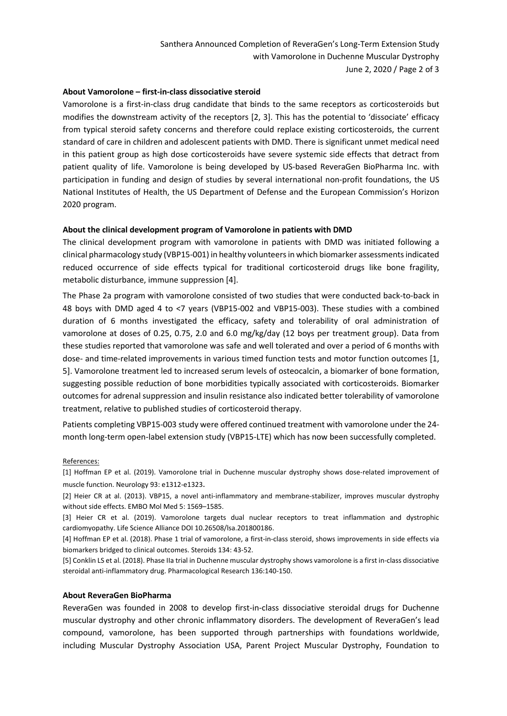# **About Vamorolone – first-in-class dissociative steroid**

Vamorolone is a first-in-class drug candidate that binds to the same receptors as corticosteroids but modifies the downstream activity of the receptors [2, 3]. This has the potential to 'dissociate' efficacy from typical steroid safety concerns and therefore could replace existing corticosteroids, the current standard of care in children and adolescent patients with DMD. There is significant unmet medical need in this patient group as high dose corticosteroids have severe systemic side effects that detract from patient quality of life. Vamorolone is being developed by US-based ReveraGen BioPharma Inc. with participation in funding and design of studies by several international non-profit foundations, the US National Institutes of Health, the US Department of Defense and the European Commission's Horizon 2020 program.

# **About the clinical development program of Vamorolone in patients with DMD**

The clinical development program with vamorolone in patients with DMD was initiated following a clinical pharmacology study (VBP15-001) in healthy volunteers in which biomarker assessments indicated reduced occurrence of side effects typical for traditional corticosteroid drugs like bone fragility, metabolic disturbance, immune suppression [4].

The Phase 2a program with vamorolone consisted of two studies that were conducted back-to-back in 48 boys with DMD aged 4 to <7 years (VBP15-002 and VBP15-003). These studies with a combined duration of 6 months investigated the efficacy, safety and tolerability of oral administration of vamorolone at doses of 0.25, 0.75, 2.0 and 6.0 mg/kg/day (12 boys per treatment group). Data from these studies reported that vamorolone was safe and well tolerated and over a period of 6 months with dose- and time-related improvements in various timed function tests and motor function outcomes [1, 5]. Vamorolone treatment led to increased serum levels of osteocalcin, a biomarker of bone formation, suggesting possible reduction of bone morbidities typically associated with corticosteroids. Biomarker outcomes for adrenal suppression and insulin resistance also indicated better tolerability of vamorolone treatment, relative to published studies of corticosteroid therapy.

Patients completing VBP15-003 study were offered continued treatment with vamorolone under the 24 month long-term open-label extension study (VBP15-LTE) which has now been successfully completed.

#### References:

[1] Hoffman EP et al. (2019). Vamorolone trial in Duchenne muscular dystrophy shows dose-related improvement of muscle function. Neurology 93: e1312-e1323.

[2] Heier CR at al. (2013). VBP15, a novel anti-inflammatory and membrane-stabilizer, improves muscular dystrophy without side effects. EMBO Mol Med 5: 1569–1585.

[3] Heier CR et al. (2019). Vamorolone targets dual nuclear receptors to treat inflammation and dystrophic cardiomyopathy. Life Science Alliance DOI 10.26508/lsa.201800186.

[4] Hoffman EP et al. (2018). Phase 1 trial of vamorolone, a first-in-class steroid, shows improvements in side effects via biomarkers bridged to clinical outcomes. Steroids 134: 43-52.

[5] Conklin LS et al. (2018). Phase IIa trial in Duchenne muscular dystrophy shows vamorolone is a first in-class dissociative steroidal anti-inflammatory drug. Pharmacological Research 136:140-150.

# **About ReveraGen BioPharma**

ReveraGen was founded in 2008 to develop first-in-class dissociative steroidal drugs for Duchenne muscular dystrophy and other chronic inflammatory disorders. The development of ReveraGen's lead compound, vamorolone, has been supported through partnerships with foundations worldwide, including Muscular Dystrophy Association USA, Parent Project Muscular Dystrophy, Foundation to